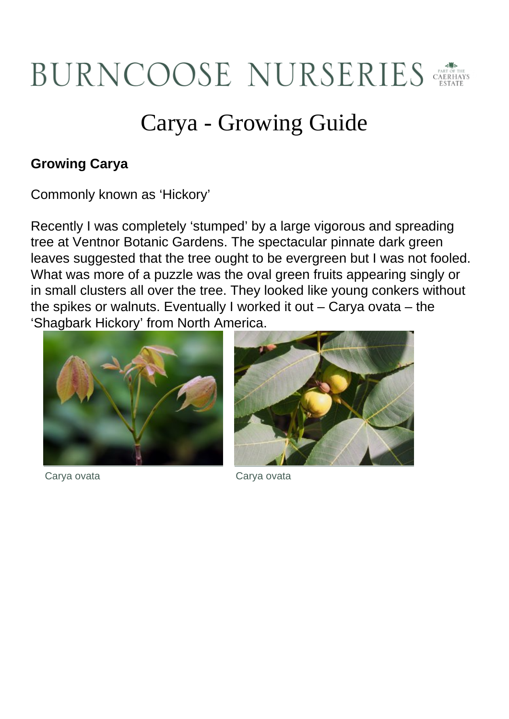## BURNCOOSE NURSERIES

## Carya - Growing Guide

## **Growing Carya**

Commonly known as 'Hickory'

Recently I was completely 'stumped' by a large vigorous and spreading tree at Ventnor Botanic Gardens. The spectacular pinnate dark green leaves suggested that the tree ought to be evergreen but I was not fooled. What was more of a puzzle was the oval green fruits appearing singly or in small clusters all over the tree. They looked like young conkers without the spikes or walnuts. Eventually I worked it out – Carya ovata – the 'Shagbark Hickory' from North America.







Carya ovata Carya ovata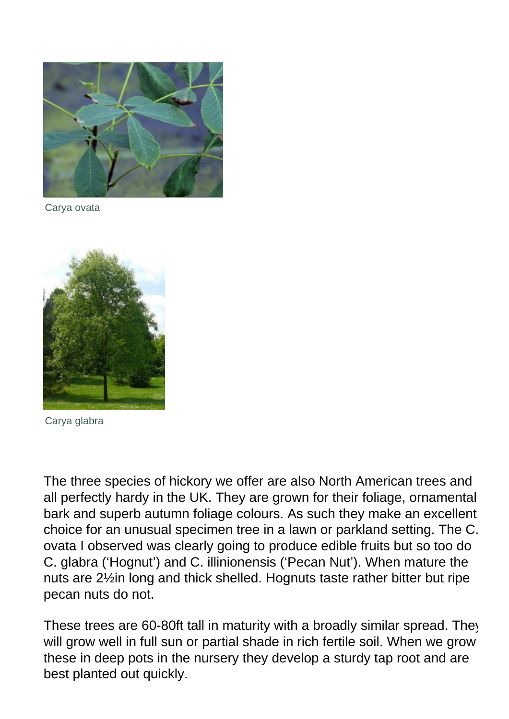

Carya ovata



Carya glabra

The three species of hickory we offer are also North American trees and all perfectly hardy in the UK. They are grown for their foliage, ornamental bark and superb autumn foliage colours. As such they make an excellent choice for an unusual specimen tree in a lawn or parkland setting. The C. ovata I observed was clearly going to produce edible fruits but so too do C. glabra ('Hognut') and C. illinionensis ('Pecan Nut'). When mature the nuts are 2½in long and thick shelled. Hognuts taste rather bitter but ripe pecan nuts do not.

These trees are 60-80ft tall in maturity with a broadly similar spread. They will grow well in full sun or partial shade in rich fertile soil. When we grow these in deep pots in the nursery they develop a sturdy tap root and are best planted out quickly.